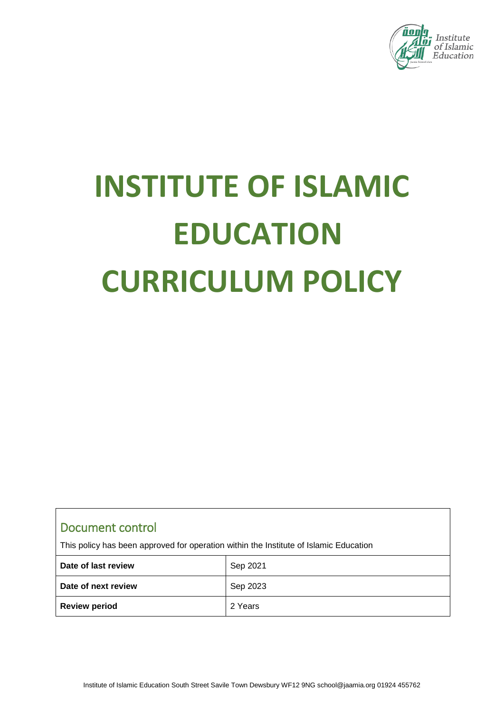

# **INSTITUTE OF ISLAMIC EDUCATION CURRICULUM POLICY**

| Document control<br>This policy has been approved for operation within the Institute of Islamic Education |          |
|-----------------------------------------------------------------------------------------------------------|----------|
| Date of last review                                                                                       | Sep 2021 |
| Date of next review                                                                                       | Sep 2023 |
| <b>Review period</b>                                                                                      | 2 Years  |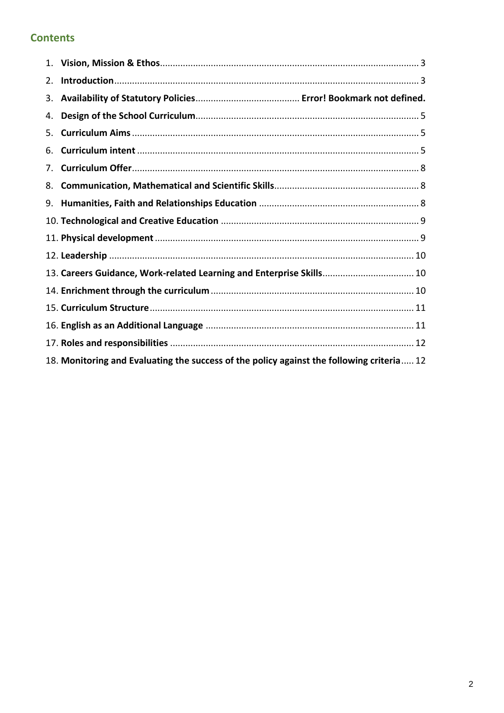# **Contents**

| 1. |                                                                                           |
|----|-------------------------------------------------------------------------------------------|
| 2. |                                                                                           |
| 3. |                                                                                           |
| 4. |                                                                                           |
| 5. |                                                                                           |
| 6. |                                                                                           |
| 7. |                                                                                           |
| 8. |                                                                                           |
| 9. |                                                                                           |
|    |                                                                                           |
|    |                                                                                           |
|    |                                                                                           |
|    | 13. Careers Guidance, Work-related Learning and Enterprise Skills 10                      |
|    |                                                                                           |
|    |                                                                                           |
|    |                                                                                           |
|    |                                                                                           |
|    | 18. Monitoring and Evaluating the success of the policy against the following criteria 12 |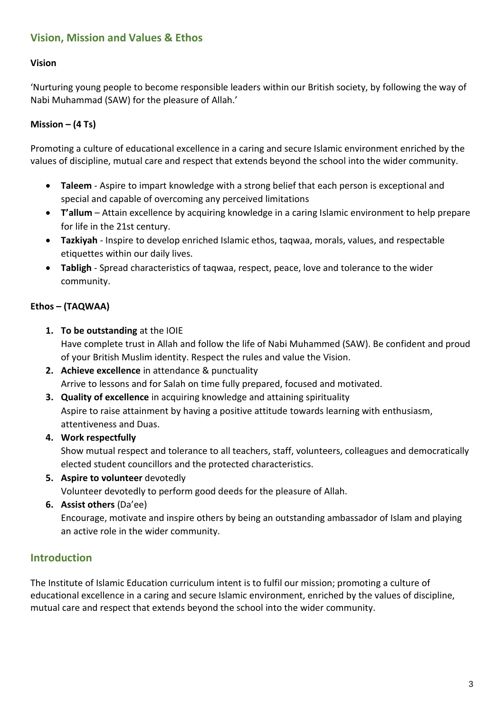# **Vision, Mission and Values & Ethos**

#### **Vision**

'Nurturing young people to become responsible leaders within our British society, by following the way of Nabi Muhammad (SAW) for the pleasure of Allah.'

#### **Mission – (4 Ts)**

Promoting a culture of educational excellence in a caring and secure Islamic environment enriched by the values of discipline, mutual care and respect that extends beyond the school into the wider community.

- **Taleem** Aspire to impart knowledge with a strong belief that each person is exceptional and special and capable of overcoming any perceived limitations
- **T'allum** Attain excellence by acquiring knowledge in a caring Islamic environment to help prepare for life in the 21st century.
- **Tazkiyah** Inspire to develop enriched Islamic ethos, taqwaa, morals, values, and respectable etiquettes within our daily lives.
- **Tabligh** Spread characteristics of taqwaa, respect, peace, love and tolerance to the wider community.

#### **Ethos – (TAQWAA)**

- **1. To be outstanding** at the IOIE Have complete trust in Allah and follow the life of Nabi Muhammed (SAW). Be confident and proud of your British Muslim identity. Respect the rules and value the Vision.
- **2. Achieve excellence** in attendance & punctuality Arrive to lessons and for Salah on time fully prepared, focused and motivated.
- **3. Quality of excellence** in acquiring knowledge and attaining spirituality Aspire to raise attainment by having a positive attitude towards learning with enthusiasm, attentiveness and Duas.
- **4. Work respectfully**

Show mutual respect and tolerance to all teachers, staff, volunteers, colleagues and democratically elected student councillors and the protected characteristics.

**5. Aspire to volunteer** devotedly

Volunteer devotedly to perform good deeds for the pleasure of Allah.

**6. Assist others** (Da'ee)

Encourage, motivate and inspire others by being an outstanding ambassador of Islam and playing an active role in the wider community.

## **Introduction**

The Institute of Islamic Education curriculum intent is to fulfil our mission; promoting a culture of educational excellence in a caring and secure Islamic environment, enriched by the values of discipline, mutual care and respect that extends beyond the school into the wider community.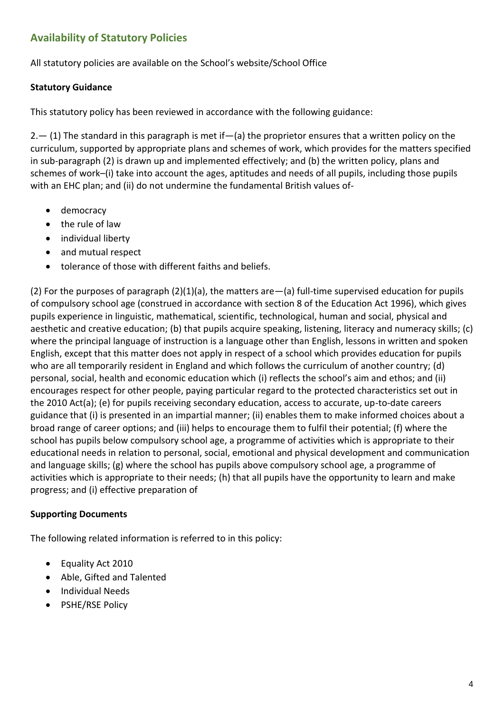# **Availability of Statutory Policies**

All statutory policies are available on the School's website/School Office

#### **Statutory Guidance**

This statutory policy has been reviewed in accordance with the following guidance:

 $2-$  (1) The standard in this paragraph is met if  $-$  (a) the proprietor ensures that a written policy on the curriculum, supported by appropriate plans and schemes of work, which provides for the matters specified in sub-paragraph (2) is drawn up and implemented effectively; and (b) the written policy, plans and schemes of work–(i) take into account the ages, aptitudes and needs of all pupils, including those pupils with an EHC plan; and (ii) do not undermine the fundamental British values of-

- democracy
- the rule of law
- individual liberty
- and mutual respect
- tolerance of those with different faiths and beliefs.

(2) For the purposes of paragraph  $(2)(1)(a)$ , the matters are  $-(a)$  full-time supervised education for pupils of compulsory school age (construed in accordance with section 8 of the Education Act 1996), which gives pupils experience in linguistic, mathematical, scientific, technological, human and social, physical and aesthetic and creative education; (b) that pupils acquire speaking, listening, literacy and numeracy skills; (c) where the principal language of instruction is a language other than English, lessons in written and spoken English, except that this matter does not apply in respect of a school which provides education for pupils who are all temporarily resident in England and which follows the curriculum of another country; (d) personal, social, health and economic education which (i) reflects the school's aim and ethos; and (ii) encourages respect for other people, paying particular regard to the protected characteristics set out in the 2010 Act(a); (e) for pupils receiving secondary education, access to accurate, up-to-date careers guidance that (i) is presented in an impartial manner; (ii) enables them to make informed choices about a broad range of career options; and (iii) helps to encourage them to fulfil their potential; (f) where the school has pupils below compulsory school age, a programme of activities which is appropriate to their educational needs in relation to personal, social, emotional and physical development and communication and language skills; (g) where the school has pupils above compulsory school age, a programme of activities which is appropriate to their needs; (h) that all pupils have the opportunity to learn and make progress; and (i) effective preparation of

#### **Supporting Documents**

The following related information is referred to in this policy:

- Equality Act 2010
- Able, Gifted and Talented
- Individual Needs
- PSHE/RSE Policy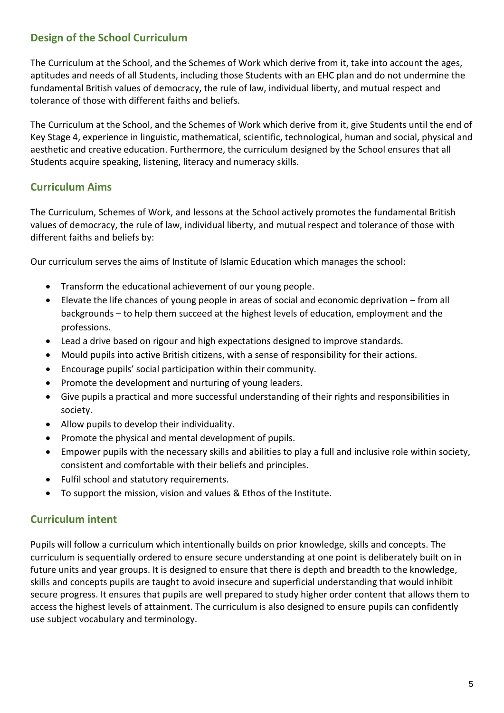# **Design of the School Curriculum**

The Curriculum at the School, and the Schemes of Work which derive from it, take into account the ages, aptitudes and needs of all Students, including those Students with an EHC plan and do not undermine the fundamental British values of democracy, the rule of law, individual liberty, and mutual respect and tolerance of those with different faiths and beliefs.

The Curriculum at the School, and the Schemes of Work which derive from it, give Students until the end of Key Stage 4, experience in linguistic, mathematical, scientific, technological, human and social, physical and aesthetic and creative education. Furthermore, the curriculum designed by the School ensures that all Students acquire speaking, listening, literacy and numeracy skills.

# **Curriculum Aims**

The Curriculum, Schemes of Work, and lessons at the School actively promotes the fundamental British values of democracy, the rule of law, individual liberty, and mutual respect and tolerance of those with different faiths and beliefs by:

Our curriculum serves the aims of Institute of Islamic Education which manages the school:

- Transform the educational achievement of our young people.
- Elevate the life chances of young people in areas of social and economic deprivation from all backgrounds – to help them succeed at the highest levels of education, employment and the professions.
- Lead a drive based on rigour and high expectations designed to improve standards.
- Mould pupils into active British citizens, with a sense of responsibility for their actions.
- Encourage pupils' social participation within their community.
- Promote the development and nurturing of young leaders.
- Give pupils a practical and more successful understanding of their rights and responsibilities in society.
- Allow pupils to develop their individuality.
- Promote the physical and mental development of pupils.
- Empower pupils with the necessary skills and abilities to play a full and inclusive role within society, consistent and comfortable with their beliefs and principles.
- Fulfil school and statutory requirements.
- To support the mission, vision and values & Ethos of the Institute.

## **Curriculum intent**

Pupils will follow a curriculum which intentionally builds on prior knowledge, skills and concepts. The curriculum is sequentially ordered to ensure secure understanding at one point is deliberately built on in future units and year groups. It is designed to ensure that there is depth and breadth to the knowledge, skills and concepts pupils are taught to avoid insecure and superficial understanding that would inhibit secure progress. It ensures that pupils are well prepared to study higher order content that allows them to access the highest levels of attainment. The curriculum is also designed to ensure pupils can confidently use subject vocabulary and terminology.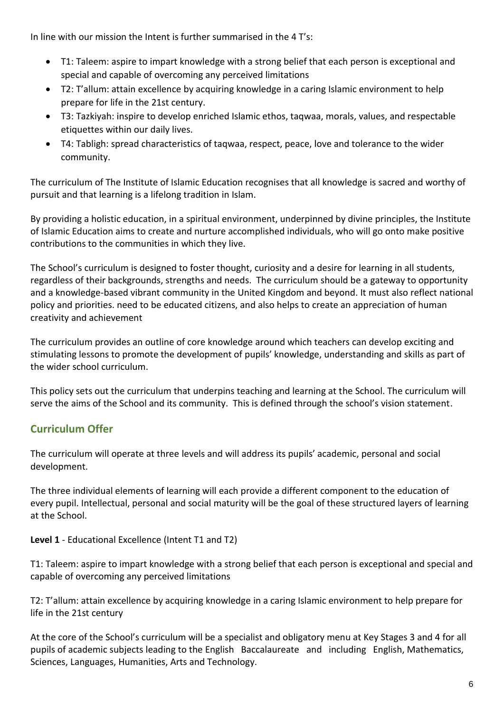In line with our mission the Intent is further summarised in the 4 T's:

- T1: Taleem: aspire to impart knowledge with a strong belief that each person is exceptional and special and capable of overcoming any perceived limitations
- T2: T'allum: attain excellence by acquiring knowledge in a caring Islamic environment to help prepare for life in the 21st century.
- T3: Tazkiyah: inspire to develop enriched Islamic ethos, taqwaa, morals, values, and respectable etiquettes within our daily lives.
- T4: Tabligh: spread characteristics of taqwaa, respect, peace, love and tolerance to the wider community.

The curriculum of The Institute of Islamic Education recognises that all knowledge is sacred and worthy of pursuit and that learning is a lifelong tradition in Islam.

By providing a holistic education, in a spiritual environment, underpinned by divine principles, the Institute of Islamic Education aims to create and nurture accomplished individuals, who will go onto make positive contributions to the communities in which they live.

The School's curriculum is designed to foster thought, curiosity and a desire for learning in all students, regardless of their backgrounds, strengths and needs. The curriculum should be a gateway to opportunity and a knowledge-based vibrant community in the United Kingdom and beyond. It must also reflect national policy and priorities. need to be educated citizens, and also helps to create an appreciation of human creativity and achievement

The curriculum provides an outline of core knowledge around which teachers can develop exciting and stimulating lessons to promote the development of pupils' knowledge, understanding and skills as part of the wider school curriculum.

This policy sets out the curriculum that underpins teaching and learning at the School. The curriculum will serve the aims of the School and its community. This is defined through the school's vision statement.

# **Curriculum Offer**

The curriculum will operate at three levels and will address its pupils' academic, personal and social development.

The three individual elements of learning will each provide a different component to the education of every pupil. Intellectual, personal and social maturity will be the goal of these structured layers of learning at the School.

**Level 1** - Educational Excellence (Intent T1 and T2)

T1: Taleem: aspire to impart knowledge with a strong belief that each person is exceptional and special and capable of overcoming any perceived limitations

T2: T'allum: attain excellence by acquiring knowledge in a caring Islamic environment to help prepare for life in the 21st century

At the core of the School's curriculum will be a specialist and obligatory menu at Key Stages 3 and 4 for all pupils of academic subjects leading to the English Baccalaureate and including English, Mathematics, Sciences, Languages, Humanities, Arts and Technology.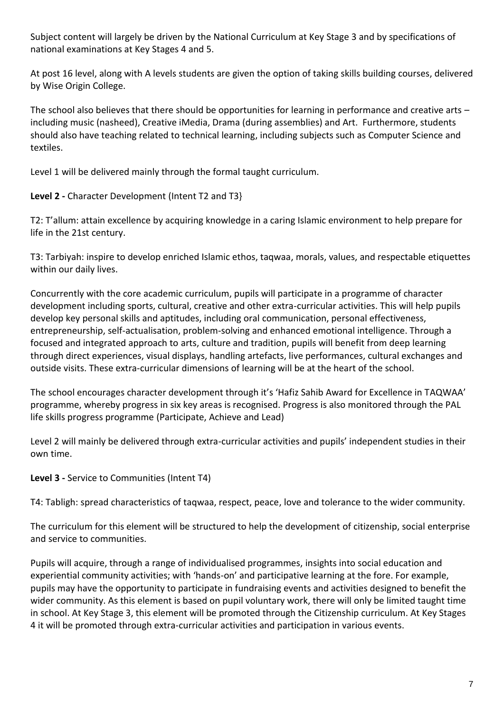Subject content will largely be driven by the National Curriculum at Key Stage 3 and by specifications of national examinations at Key Stages 4 and 5.

At post 16 level, along with A levels students are given the option of taking skills building courses, delivered by Wise Origin College.

The school also believes that there should be opportunities for learning in performance and creative arts – including music (nasheed), Creative iMedia, Drama (during assemblies) and Art. Furthermore, students should also have teaching related to technical learning, including subjects such as Computer Science and textiles.

Level 1 will be delivered mainly through the formal taught curriculum.

**Level 2 -** Character Development (Intent T2 and T3}

T2: T'allum: attain excellence by acquiring knowledge in a caring Islamic environment to help prepare for life in the 21st century.

T3: Tarbiyah: inspire to develop enriched Islamic ethos, taqwaa, morals, values, and respectable etiquettes within our daily lives.

Concurrently with the core academic curriculum, pupils will participate in a programme of character development including sports, cultural, creative and other extra-curricular activities. This will help pupils develop key personal skills and aptitudes, including oral communication, personal effectiveness, entrepreneurship, self-actualisation, problem-solving and enhanced emotional intelligence. Through a focused and integrated approach to arts, culture and tradition, pupils will benefit from deep learning through direct experiences, visual displays, handling artefacts, live performances, cultural exchanges and outside visits. These extra-curricular dimensions of learning will be at the heart of the school.

The school encourages character development through it's 'Hafiz Sahib Award for Excellence in TAQWAA' programme, whereby progress in six key areas is recognised. Progress is also monitored through the PAL life skills progress programme (Participate, Achieve and Lead)

Level 2 will mainly be delivered through extra-curricular activities and pupils' independent studies in their own time.

**Level 3 -** Service to Communities (Intent T4)

T4: Tabligh: spread characteristics of taqwaa, respect, peace, love and tolerance to the wider community.

The curriculum for this element will be structured to help the development of citizenship, social enterprise and service to communities.

Pupils will acquire, through a range of individualised programmes, insights into social education and experiential community activities; with 'hands-on' and participative learning at the fore. For example, pupils may have the opportunity to participate in fundraising events and activities designed to benefit the wider community. As this element is based on pupil voluntary work, there will only be limited taught time in school. At Key Stage 3, this element will be promoted through the Citizenship curriculum. At Key Stages 4 it will be promoted through extra-curricular activities and participation in various events.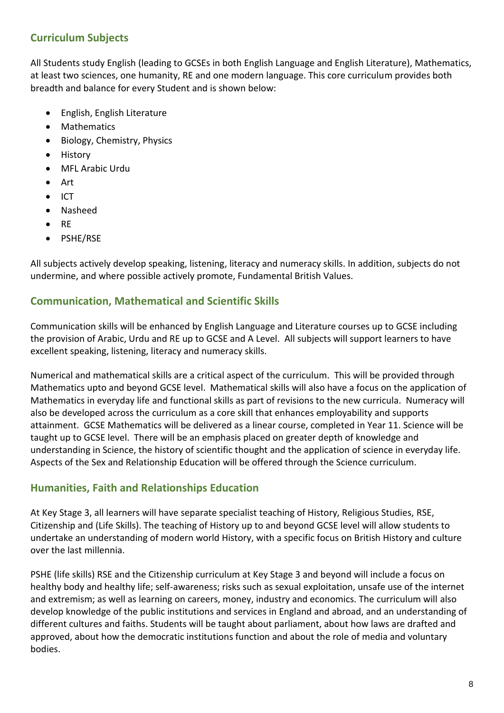# **Curriculum Subjects**

All Students study English (leading to GCSEs in both English Language and English Literature), Mathematics, at least two sciences, one humanity, RE and one modern language. This core curriculum provides both breadth and balance for every Student and is shown below:

- English, English Literature
- Mathematics
- Biology, Chemistry, Physics
- History
- MFL Arabic Urdu
- Art
- ICT
- Nasheed
- RE
- PSHE/RSE

All subjects actively develop speaking, listening, literacy and numeracy skills. In addition, subjects do not undermine, and where possible actively promote, Fundamental British Values.

# **Communication, Mathematical and Scientific Skills**

Communication skills will be enhanced by English Language and Literature courses up to GCSE including the provision of Arabic, Urdu and RE up to GCSE and A Level. All subjects will support learners to have excellent speaking, listening, literacy and numeracy skills.

Numerical and mathematical skills are a critical aspect of the curriculum. This will be provided through Mathematics upto and beyond GCSE level. Mathematical skills will also have a focus on the application of Mathematics in everyday life and functional skills as part of revisions to the new curricula. Numeracy will also be developed across the curriculum as a core skill that enhances employability and supports attainment. GCSE Mathematics will be delivered as a linear course, completed in Year 11. Science will be taught up to GCSE level. There will be an emphasis placed on greater depth of knowledge and understanding in Science, the history of scientific thought and the application of science in everyday life. Aspects of the Sex and Relationship Education will be offered through the Science curriculum.

# **Humanities, Faith and Relationships Education**

At Key Stage 3, all learners will have separate specialist teaching of History, Religious Studies, RSE, Citizenship and (Life Skills). The teaching of History up to and beyond GCSE level will allow students to undertake an understanding of modern world History, with a specific focus on British History and culture over the last millennia.

PSHE (life skills) RSE and the Citizenship curriculum at Key Stage 3 and beyond will include a focus on healthy body and healthy life; self-awareness; risks such as sexual exploitation, unsafe use of the internet and extremism; as well as learning on careers, money, industry and economics. The curriculum will also develop knowledge of the public institutions and services in England and abroad, and an understanding of different cultures and faiths. Students will be taught about parliament, about how laws are drafted and approved, about how the democratic institutions function and about the role of media and voluntary bodies.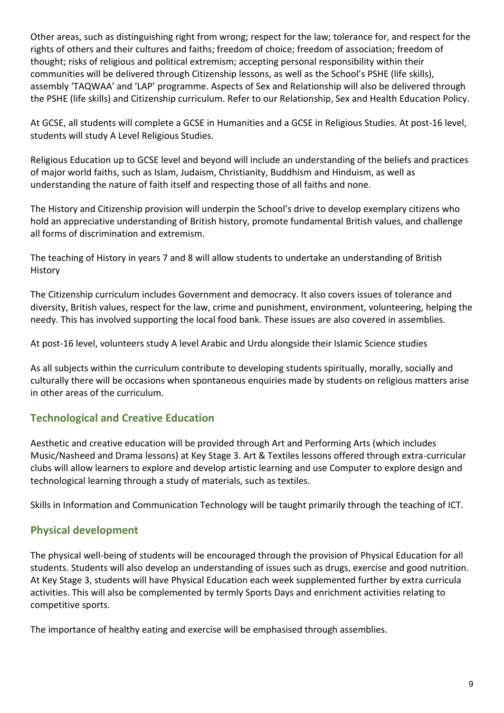Other areas, such as distinguishing right from wrong; respect for the law; tolerance for, and respect for the rights of others and their cultures and faiths; freedom of choice; freedom of association; freedom of thought; risks of religious and political extremism; accepting personal responsibility within their communities will be delivered through Citizenship lessons, as well as the School's PSHE (life skills), assembly 'TAQWAA' and 'LAP' programme. Aspects of Sex and Relationship will also be delivered through the PSHE (life skills) and Citizenship curriculum. Refer to our Relationship, Sex and Health Education Policy.

At GCSE, all students will complete a GCSE in Humanities and a GCSE in Religious Studies. At post-16 level, students will study A Level Religious Studies.

Religious Education up to GCSE level and beyond will include an understanding of the beliefs and practices of major world faiths, such as Islam, Judaism, Christianity, Buddhism and Hinduism, as well as understanding the nature of faith itself and respecting those of all faiths and none.

The History and Citizenship provision will underpin the School's drive to develop exemplary citizens who hold an appreciative understanding of British history, promote fundamental British values, and challenge all forms of discrimination and extremism.

The teaching of History in years 7 and 8 will allow students to undertake an understanding of British History

The Citizenship curriculum includes Government and democracy. It also covers issues of tolerance and diversity, British values, respect for the law, crime and punishment, environment, volunteering, helping the needy. This has involved supporting the local food bank. These issues are also covered in assemblies.

At post-16 level, volunteers study A level Arabic and Urdu alongside their Islamic Science studies

As all subjects within the curriculum contribute to developing students spiritually, morally, socially and culturally there will be occasions when spontaneous enquiries made by students on religious matters arise in other areas of the curriculum.

# **Technological and Creative Education**

Aesthetic and creative education will be provided through Art and Performing Arts (which includes Music/Nasheed and Drama lessons) at Key Stage 3. Art & Textiles lessons offered through extra-curricular clubs will allow learners to explore and develop artistic learning and use Computer to explore design and technological learning through a study of materials, such as textiles.

Skills in Information and Communication Technology will be taught primarily through the teaching of ICT.

# **Physical development**

The physical well-being of students will be encouraged through the provision of Physical Education for all students. Students will also develop an understanding of issues such as drugs, exercise and good nutrition. At Key Stage 3, students will have Physical Education each week supplemented further by extra curricula activities. This will also be complemented by termly Sports Days and enrichment activities relating to competitive sports.

The importance of healthy eating and exercise will be emphasised through assemblies.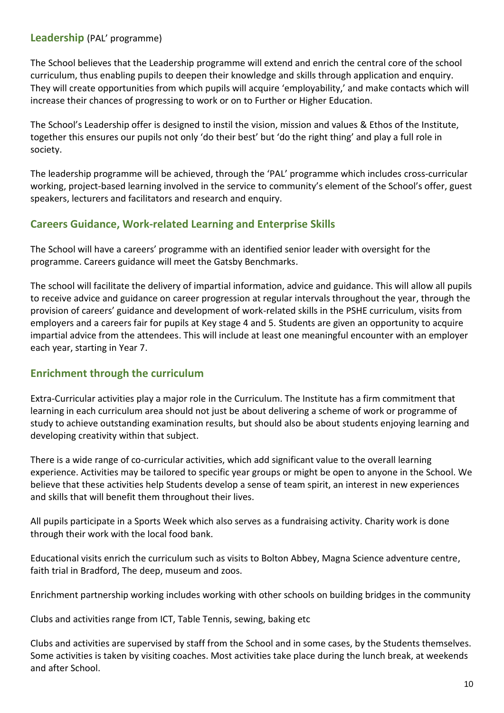## **Leadership** (PAL' programme)

The School believes that the Leadership programme will extend and enrich the central core of the school curriculum, thus enabling pupils to deepen their knowledge and skills through application and enquiry. They will create opportunities from which pupils will acquire 'employability,' and make contacts which will increase their chances of progressing to work or on to Further or Higher Education.

The School's Leadership offer is designed to instil the vision, mission and values & Ethos of the Institute, together this ensures our pupils not only 'do their best' but 'do the right thing' and play a full role in society.

The leadership programme will be achieved, through the 'PAL' programme which includes cross-curricular working, project-based learning involved in the service to community's element of the School's offer, guest speakers, lecturers and facilitators and research and enquiry.

## **Careers Guidance, Work-related Learning and Enterprise Skills**

The School will have a careers' programme with an identified senior leader with oversight for the programme. Careers guidance will meet the Gatsby Benchmarks.

The school will facilitate the delivery of impartial information, advice and guidance. This will allow all pupils to receive advice and guidance on career progression at regular intervals throughout the year, through the provision of careers' guidance and development of work-related skills in the PSHE curriculum, visits from employers and a careers fair for pupils at Key stage 4 and 5. Students are given an opportunity to acquire impartial advice from the attendees. This will include at least one meaningful encounter with an employer each year, starting in Year 7.

## **Enrichment through the curriculum**

Extra-Curricular activities play a major role in the Curriculum. The Institute has a firm commitment that learning in each curriculum area should not just be about delivering a scheme of work or programme of study to achieve outstanding examination results, but should also be about students enjoying learning and developing creativity within that subject.

There is a wide range of co-curricular activities, which add significant value to the overall learning experience. Activities may be tailored to specific year groups or might be open to anyone in the School. We believe that these activities help Students develop a sense of team spirit, an interest in new experiences and skills that will benefit them throughout their lives.

All pupils participate in a Sports Week which also serves as a fundraising activity. Charity work is done through their work with the local food bank.

Educational visits enrich the curriculum such as visits to Bolton Abbey, Magna Science adventure centre, faith trial in Bradford, The deep, museum and zoos.

Enrichment partnership working includes working with other schools on building bridges in the community

Clubs and activities range from ICT, Table Tennis, sewing, baking etc

Clubs and activities are supervised by staff from the School and in some cases, by the Students themselves. Some activities is taken by visiting coaches. Most activities take place during the lunch break, at weekends and after School.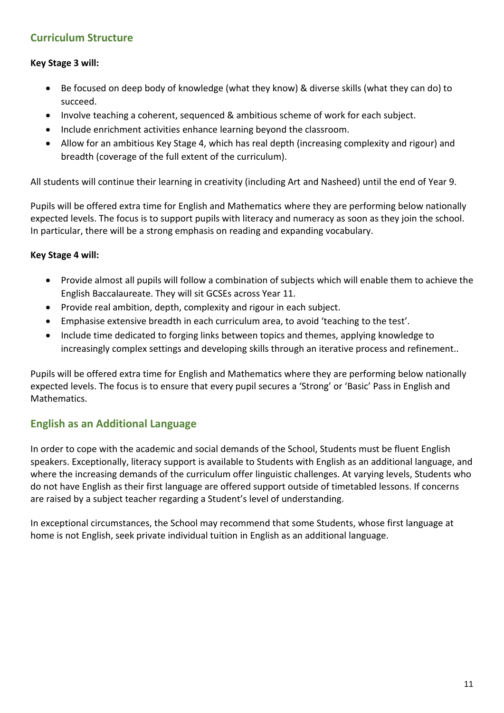# **Curriculum Structure**

#### **Key Stage 3 will:**

- Be focused on deep body of knowledge (what they know) & diverse skills (what they can do) to succeed.
- Involve teaching a coherent, sequenced & ambitious scheme of work for each subject.
- Include enrichment activities enhance learning beyond the classroom.
- Allow for an ambitious Key Stage 4, which has real depth (increasing complexity and rigour) and breadth (coverage of the full extent of the curriculum).

All students will continue their learning in creativity (including Art and Nasheed) until the end of Year 9.

Pupils will be offered extra time for English and Mathematics where they are performing below nationally expected levels. The focus is to support pupils with literacy and numeracy as soon as they join the school. In particular, there will be a strong emphasis on reading and expanding vocabulary.

#### **Key Stage 4 will:**

- Provide almost all pupils will follow a combination of subjects which will enable them to achieve the English Baccalaureate. They will sit GCSEs across Year 11.
- Provide real ambition, depth, complexity and rigour in each subject.
- Emphasise extensive breadth in each curriculum area, to avoid 'teaching to the test'.
- Include time dedicated to forging links between topics and themes, applying knowledge to increasingly complex settings and developing skills through an iterative process and refinement..

Pupils will be offered extra time for English and Mathematics where they are performing below nationally expected levels. The focus is to ensure that every pupil secures a 'Strong' or 'Basic' Pass in English and Mathematics.

## **English as an Additional Language**

In order to cope with the academic and social demands of the School, Students must be fluent English speakers. Exceptionally, literacy support is available to Students with English as an additional language, and where the increasing demands of the curriculum offer linguistic challenges. At varying levels, Students who do not have English as their first language are offered support outside of timetabled lessons. If concerns are raised by a subject teacher regarding a Student's level of understanding.

In exceptional circumstances, the School may recommend that some Students, whose first language at home is not English, seek private individual tuition in English as an additional language.